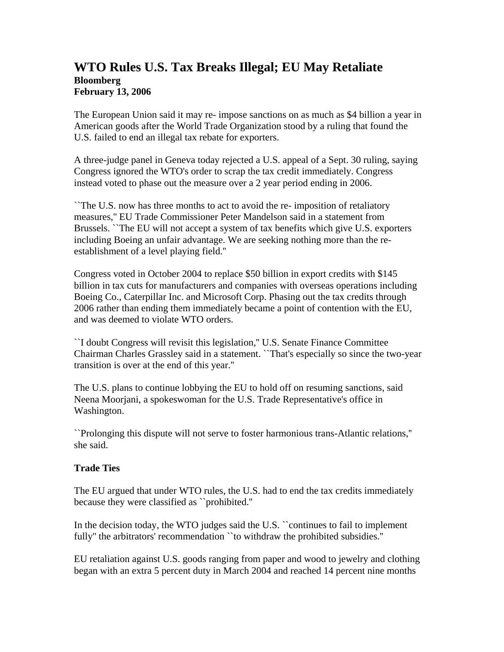## **WTO Rules U.S. Tax Breaks Illegal; EU May Retaliate Bloomberg February 13, 2006**

The European Union said it may re- impose sanctions on as much as \$4 billion a year in American goods after the World Trade Organization stood by a ruling that found the U.S. failed to end an illegal tax rebate for exporters.

A three-judge panel in Geneva today rejected a U.S. appeal of a Sept. 30 ruling, saying Congress ignored the WTO's order to scrap the tax credit immediately. Congress instead voted to phase out the measure over a 2 year period ending in 2006.

``The U.S. now has three months to act to avoid the re- imposition of retaliatory measures,'' EU Trade Commissioner Peter Mandelson said in a statement from Brussels. ``The EU will not accept a system of tax benefits which give U.S. exporters including Boeing an unfair advantage. We are seeking nothing more than the reestablishment of a level playing field.''

Congress voted in October 2004 to replace \$50 billion in export credits with \$145 billion in tax cuts for manufacturers and companies with overseas operations including Boeing Co., Caterpillar Inc. and Microsoft Corp. Phasing out the tax credits through 2006 rather than ending them immediately became a point of contention with the EU, and was deemed to violate WTO orders.

``I doubt Congress will revisit this legislation,'' U.S. Senate Finance Committee Chairman Charles Grassley said in a statement. ``That's especially so since the two-year transition is over at the end of this year.''

The U.S. plans to continue lobbying the EU to hold off on resuming sanctions, said Neena Moorjani, a spokeswoman for the U.S. Trade Representative's office in Washington.

``Prolonging this dispute will not serve to foster harmonious trans-Atlantic relations,'' she said.

## **Trade Ties**

The EU argued that under WTO rules, the U.S. had to end the tax credits immediately because they were classified as ``prohibited.''

In the decision today, the WTO judges said the U.S. "continues to fail to implement fully'' the arbitrators' recommendation ``to withdraw the prohibited subsidies.''

EU retaliation against U.S. goods ranging from paper and wood to jewelry and clothing began with an extra 5 percent duty in March 2004 and reached 14 percent nine months